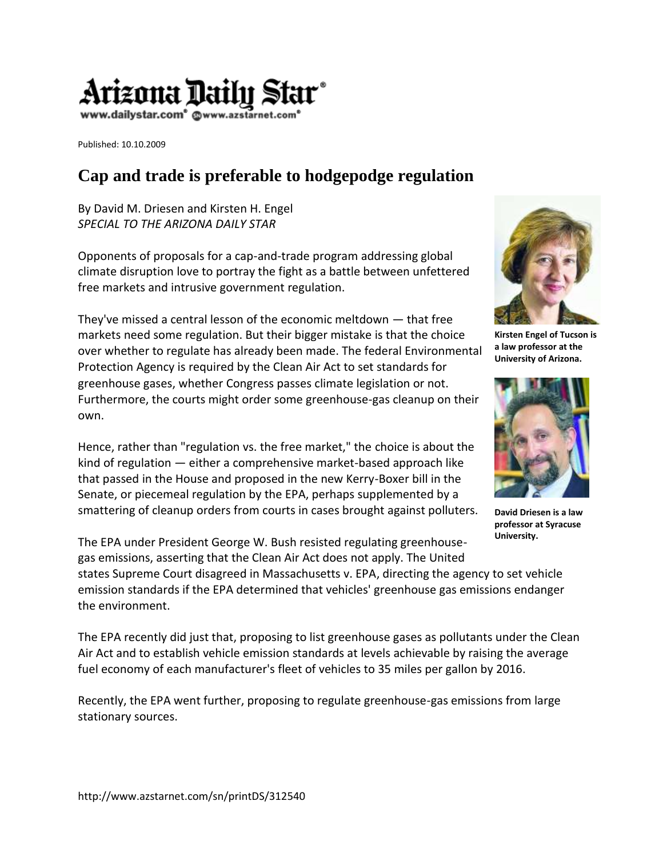

Published: 10.10.2009

the environment.

## **Cap and trade is preferable to hodgepodge regulation**

By David M. Driesen and Kirsten H. Engel *SPECIAL TO THE ARIZONA DAILY STAR* 

Opponents of proposals for a cap-and-trade program addressing global climate disruption love to portray the fight as a battle between unfettered free markets and intrusive government regulation.

They've missed a central lesson of the economic meltdown — that free markets need some regulation. But their bigger mistake is that the choice over whether to regulate has already been made. The federal Environmental Protection Agency is required by the Clean Air Act to set standards for greenhouse gases, whether Congress passes climate legislation or not. Furthermore, the courts might order some greenhouse-gas cleanup on their own.

Hence, rather than "regulation vs. the free market," the choice is about the kind of regulation — either a comprehensive market-based approach like that passed in the House and proposed in the new Kerry-Boxer bill in the Senate, or piecemeal regulation by the EPA, perhaps supplemented by a smattering of cleanup orders from courts in cases brought against polluters.



**Kirsten Engel of Tucson is a law professor at the University of Arizona.**



**David Driesen is a law professor at Syracuse University.**

The EPA under President George W. Bush resisted regulating greenhousegas emissions, asserting that the Clean Air Act does not apply. The United states Supreme Court disagreed in Massachusetts v. EPA, directing the agency to set vehicle emission standards if the EPA determined that vehicles' greenhouse gas emissions endanger

The EPA recently did just that, proposing to list greenhouse gases as pollutants under the Clean Air Act and to establish vehicle emission standards at levels achievable by raising the average fuel economy of each manufacturer's fleet of vehicles to 35 miles per gallon by 2016.

Recently, the EPA went further, proposing to regulate greenhouse-gas emissions from large stationary sources.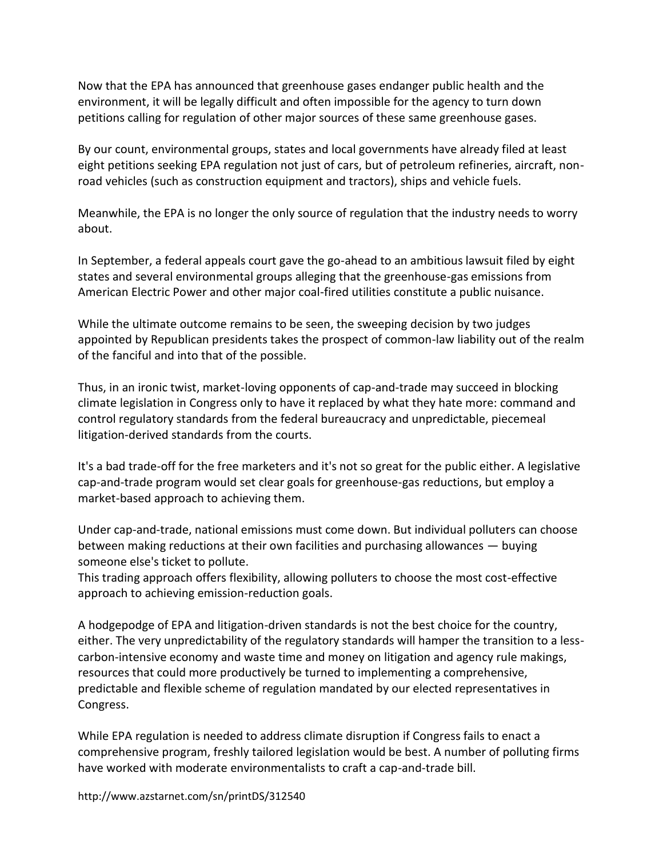Now that the EPA has announced that greenhouse gases endanger public health and the environment, it will be legally difficult and often impossible for the agency to turn down petitions calling for regulation of other major sources of these same greenhouse gases.

By our count, environmental groups, states and local governments have already filed at least eight petitions seeking EPA regulation not just of cars, but of petroleum refineries, aircraft, nonroad vehicles (such as construction equipment and tractors), ships and vehicle fuels.

Meanwhile, the EPA is no longer the only source of regulation that the industry needs to worry about.

In September, a federal appeals court gave the go-ahead to an ambitious lawsuit filed by eight states and several environmental groups alleging that the greenhouse-gas emissions from American Electric Power and other major coal-fired utilities constitute a public nuisance.

While the ultimate outcome remains to be seen, the sweeping decision by two judges appointed by Republican presidents takes the prospect of common-law liability out of the realm of the fanciful and into that of the possible.

Thus, in an ironic twist, market-loving opponents of cap-and-trade may succeed in blocking climate legislation in Congress only to have it replaced by what they hate more: command and control regulatory standards from the federal bureaucracy and unpredictable, piecemeal litigation-derived standards from the courts.

It's a bad trade-off for the free marketers and it's not so great for the public either. A legislative cap-and-trade program would set clear goals for greenhouse-gas reductions, but employ a market-based approach to achieving them.

Under cap-and-trade, national emissions must come down. But individual polluters can choose between making reductions at their own facilities and purchasing allowances — buying someone else's ticket to pollute.

This trading approach offers flexibility, allowing polluters to choose the most cost-effective approach to achieving emission-reduction goals.

A hodgepodge of EPA and litigation-driven standards is not the best choice for the country, either. The very unpredictability of the regulatory standards will hamper the transition to a lesscarbon-intensive economy and waste time and money on litigation and agency rule makings, resources that could more productively be turned to implementing a comprehensive, predictable and flexible scheme of regulation mandated by our elected representatives in Congress.

While EPA regulation is needed to address climate disruption if Congress fails to enact a comprehensive program, freshly tailored legislation would be best. A number of polluting firms have worked with moderate environmentalists to craft a cap-and-trade bill.

http://www.azstarnet.com/sn/printDS/312540